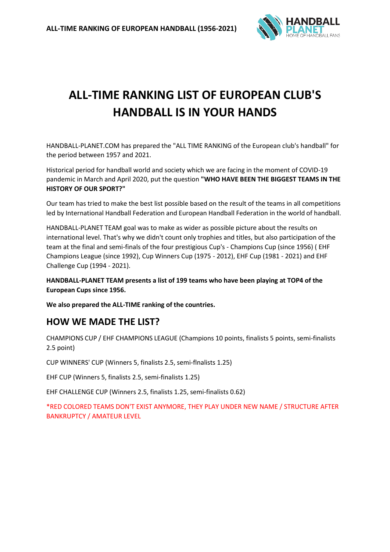

# **ALL-TIME RANKING LIST OF EUROPEAN CLUB'S HANDBALL IS IN YOUR HANDS**

HANDBALL-PLANET.COM has prepared the "ALL TIME RANKING of the European club's handball" for the period between 1957 and 2021.

Historical period for handball world and society which we are facing in the moment of COVID-19 pandemic in March and April 2020, put the question **"WHO HAVE BEEN THE BIGGEST TEAMS IN THE HISTORY OF OUR SPORT?"**

Our team has tried to make the best list possible based on the result of the teams in all competitions led by International Handball Federation and European Handball Federation in the world of handball.

HANDBALL-PLANET TEAM goal was to make as wider as possible picture about the results on international level. That's why we didn't count only trophies and titles, but also participation of the team at the final and semi-finals of the four prestigious Cup's - Champions Cup (since 1956) ( EHF Champions League (since 1992), Cup Winners Cup (1975 - 2012), EHF Cup (1981 - 2021) and EHF Challenge Cup (1994 - 2021).

**HANDBALL-PLANET TEAM presents a list of 199 teams who have been playing at TOP4 of the European Cups since 1956.**

**We also prepared the ALL-TIME ranking of the countries.**

## **HOW WE MADE THE LIST?**

CHAMPIONS CUP / EHF CHAMPIONS LEAGUE (Champions 10 points, finalists 5 points, semi-finalists 2.5 point)

CUP WINNERS' CUP (Winners 5, finalists 2.5, semi-flnalists 1.25)

EHF CUP (Winners 5, finalists 2.5, semi-finalists 1.25)

EHF CHALLENGE CUP (Winners 2.5, finalists 1.25, semi-finalists 0.62)

\*RED COLORED TEAMS DON'T EXIST ANYMORE, THEY PLAY UNDER NEW NAME / STRUCTURE AFTER BANKRUPTCY / AMATEUR LEVEL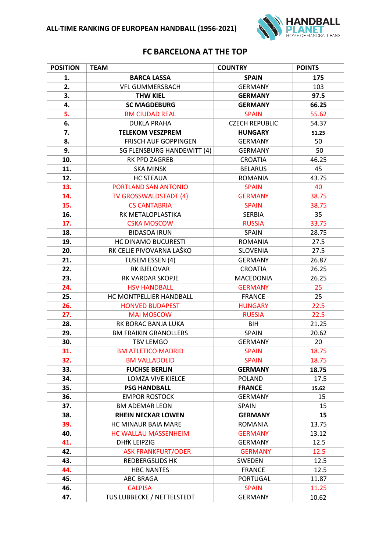

#### **FC BARCELONA AT THE TOP**

| <b>POSITION</b> | <b>TEAM</b>                  | <b>COUNTRY</b>        | <b>POINTS</b> |
|-----------------|------------------------------|-----------------------|---------------|
| 1.              | <b>BARCA LASSA</b>           | <b>SPAIN</b>          | 175           |
| 2.              | <b>VFL GUMMERSBACH</b>       | <b>GERMANY</b>        | 103           |
| 3.              | <b>THW KIEL</b>              | <b>GERMANY</b>        | 97.5          |
| 4.              | <b>SC MAGDEBURG</b>          | <b>GERMANY</b>        | 66.25         |
| 5.              | <b>BM CIUDAD REAL</b>        | <b>SPAIN</b>          | 55.62         |
| 6.              | <b>DUKLA PRAHA</b>           | <b>CZECH REPUBLIC</b> | 54.37         |
| 7.              | <b>TELEKOM VESZPREM</b>      | <b>HUNGARY</b>        | 51.25         |
| 8.              | FRISCH AUF GOPPINGEN         | <b>GERMANY</b>        | 50            |
| 9.              | SG FLENSBURG HANDEWITT (4)   | <b>GERMANY</b>        | 50            |
| 10.             | RK PPD ZAGREB                | <b>CROATIA</b>        | 46.25         |
| 11.             | <b>SKA MINSK</b>             | <b>BELARUS</b>        | 45            |
| 12.             | <b>HC STEAUA</b>             | <b>ROMANIA</b>        | 43.75         |
| 13.             | PORTLAND SAN ANTONIO         | <b>SPAIN</b>          | 40            |
| 14.             | TV GROSSWALDSTADT (4)        | <b>GERMANY</b>        | 38.75         |
| 15.             | <b>CS CANTABRIA</b>          | <b>SPAIN</b>          | 38.75         |
| 16.             | RK METALOPLASTIKA            | SERBIA                | 35            |
| 17.             | <b>CSKA MOSCOW</b>           | <b>RUSSIA</b>         | 33.75         |
| 18.             | <b>BIDASOA IRUN</b>          | SPAIN                 | 28.75         |
| 19.             | HC DINAMO BUCURESTI          | <b>ROMANIA</b>        | 27.5          |
| 20.             | RK CELJE PIVOVARNA LAŠKO     | <b>SLOVENIA</b>       | 27.5          |
| 21.             | TUSEM ESSEN (4)              | <b>GERMANY</b>        | 26.87         |
| 22.             | RK BJELOVAR                  | <b>CROATIA</b>        | 26.25         |
| 23.             | RK VARDAR SKOPJE             | MACEDONIA             | 26.25         |
| 24.             | <b>HSV HANDBALL</b>          | <b>GERMANY</b>        | 25            |
| 25.             | HC MONTPELLIER HANDBALL      | <b>FRANCE</b>         | 25            |
| 26.             | <b>HONVED BUDAPEST</b>       | <b>HUNGARY</b>        | 22.5          |
| 27.             | <b>MAI MOSCOW</b>            | <b>RUSSIA</b>         | 22.5          |
| 28.             | RK BORAC BANJA LUKA          | <b>BIH</b>            | 21.25         |
| 29.             | <b>BM FRAIKIN GRANOLLERS</b> | SPAIN                 | 20.62         |
| 30.             | <b>TBV LEMGO</b>             | <b>GERMANY</b>        | 20            |
| 31.             | <b>BM ATLETICO MADRID</b>    | <b>SPAIN</b>          | 18.75         |
| 32.             | <b>BM VALLADOLID</b>         | <b>SPAIN</b>          | 18.75         |
| 33.             | <b>FUCHSE BERLIN</b>         | <b>GERMANY</b>        | 18.75         |
| 34.             | LOMZA VIVE KIELCE            | <b>POLAND</b>         | 17.5          |
| 35.             | <b>PSG HANDBALL</b>          | <b>FRANCE</b>         | 15.62         |
| 36.             | <b>EMPOR ROSTOCK</b>         | <b>GERMANY</b>        | 15            |
| 37.             | <b>BM ADEMAR LEON</b>        | SPAIN                 | 15            |
| 38.             | <b>RHEIN NECKAR LOWEN</b>    | <b>GERMANY</b>        | 15            |
| 39.             | HC MINAUR BAIA MARE          | <b>ROMANIA</b>        | 13.75         |
| 40.             | <b>HC WALLAU MASSENHEIM</b>  | <b>GERMANY</b>        | 13.12         |
| 41.             | <b>DHfK LEIPZIG</b>          | <b>GERMANY</b>        | 12.5          |
| 42.             | <b>ASK FRANKFURT/ODER</b>    | <b>GERMANY</b>        | 12.5          |
| 43.             | <b>REDBERGSLIDS HK</b>       | SWEDEN                | 12.5          |
| 44.             | <b>HBC NANTES</b>            | <b>FRANCE</b>         | 12.5          |
| 45.             | <b>ABC BRAGA</b>             | PORTUGAL              | 11.87         |
| 46.             | <b>CALPISA</b>               | <b>SPAIN</b>          | 11.25         |
| 47.             | TUS LUBBECKE / NETTELSTEDT   | <b>GERMANY</b>        | 10.62         |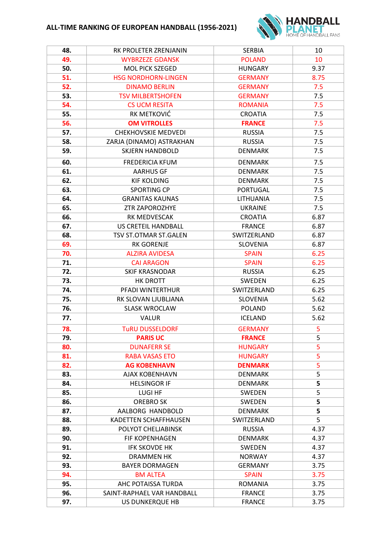

| 48. | RK PROLETER ZRENJANIN      | <b>SERBIA</b>   | 10   |
|-----|----------------------------|-----------------|------|
| 49. | <b>WYBRZEZE GDANSK</b>     | <b>POLAND</b>   | 10   |
| 50. | <b>MOL PICK SZEGED</b>     | <b>HUNGARY</b>  | 9.37 |
| 51. | <b>HSG NORDHORN-LINGEN</b> | <b>GERMANY</b>  | 8.75 |
| 52. | <b>DINAMO BERLIN</b>       | <b>GERMANY</b>  | 7.5  |
| 53. | <b>TSV MILBERTSHOFEN</b>   | <b>GERMANY</b>  | 7.5  |
| 54. | <b>CS UCM RESITA</b>       | <b>ROMANIA</b>  | 7.5  |
| 55. | RK METKOVIĆ                | <b>CROATIA</b>  | 7.5  |
| 56. | <b>OM VITROLLES</b>        | <b>FRANCE</b>   | 7.5  |
| 57. | <b>CHEKHOVSKIE MEDVEDI</b> | <b>RUSSIA</b>   | 7.5  |
| 58. | ZARJA (DINAMO) ASTRAKHAN   | <b>RUSSIA</b>   | 7.5  |
| 59. | <b>SKJERN HANDBOLD</b>     | <b>DENMARK</b>  | 7.5  |
| 60. | <b>FREDERICIA KFUM</b>     | <b>DENMARK</b>  | 7.5  |
| 61. | <b>AARHUS GF</b>           | <b>DENMARK</b>  | 7.5  |
| 62. | <b>KIF KOLDING</b>         | <b>DENMARK</b>  | 7.5  |
| 63. | <b>SPORTING CP</b>         | <b>PORTUGAL</b> | 7.5  |
| 64. | <b>GRANITAS KAUNAS</b>     | LITHUANIA       | 7.5  |
| 65. | ZTR ZAPOROZHYE             | <b>UKRAINE</b>  | 7.5  |
| 66. | RK MEDVESCAK               | <b>CROATIA</b>  | 6.87 |
| 67. | US CRETEIL HANDBALL        | <b>FRANCE</b>   | 6.87 |
| 68. | TSV ST.OTMAR ST.GALEN      | SWITZERLAND     | 6.87 |
| 69. | <b>RK GORENJE</b>          | <b>SLOVENIA</b> | 6.87 |
| 70. | <b>ALZIRA AVIDESA</b>      | <b>SPAIN</b>    | 6.25 |
| 71. | <b>CAI ARAGON</b>          | <b>SPAIN</b>    | 6.25 |
| 72. | <b>SKIF KRASNODAR</b>      | <b>RUSSIA</b>   | 6.25 |
| 73. | HK DROTT                   | SWEDEN          | 6.25 |
| 74. | PFADI WINTERTHUR           | SWITZERLAND     | 6.25 |
| 75. | RK SLOVAN LJUBLJANA        | <b>SLOVENIA</b> | 5.62 |
| 76. | <b>SLASK WROCLAW</b>       | POLAND          | 5.62 |
| 77. | <b>VALUR</b>               | <b>ICELAND</b>  | 5.62 |
| 78. | <b>TURU DUSSELDORF</b>     | <b>GERMANY</b>  | 5    |
| 79. | <b>PARIS UC</b>            | <b>FRANCE</b>   | 5    |
| 80. | <b>DUNAFERR SE</b>         | <b>HUNGARY</b>  | 5    |
| 81. | <b>RABA VASAS ETO</b>      | <b>HUNGARY</b>  | 5    |
| 82. | <b>AG KOBENHAVN</b>        | <b>DENMARK</b>  | 5    |
| 83. | <b>AJAX KOBENHAVN</b>      | <b>DENMARK</b>  | 5    |
| 84. | <b>HELSINGOR IF</b>        | <b>DENMARK</b>  | 5    |
| 85. | LUGI HF                    | SWEDEN          | 5    |
| 86. | <b>OREBRO SK</b>           | SWEDEN          | 5    |
| 87. | AALBORG HANDBOLD           | <b>DENMARK</b>  | 5    |
| 88. | KADETTEN SCHAFFHAUSEN      | SWITZERLAND     | 5    |
| 89. | POLYOT CHELJABINSK         | <b>RUSSIA</b>   | 4.37 |
| 90. | <b>FIF KOPENHAGEN</b>      | <b>DENMARK</b>  | 4.37 |
| 91. | <b>IFK SKOVDE HK</b>       | SWEDEN          | 4.37 |
| 92. | <b>DRAMMEN HK</b>          | <b>NORWAY</b>   | 4.37 |
| 93. | <b>BAYER DORMAGEN</b>      | <b>GERMANY</b>  | 3.75 |
| 94. | <b>BM ALTEA</b>            | <b>SPAIN</b>    | 3.75 |
| 95. | AHC POTAISSA TURDA         | <b>ROMANIA</b>  | 3.75 |
| 96. | SAINT-RAPHAEL VAR HANDBALL | <b>FRANCE</b>   | 3.75 |
| 97. | US DUNKERQUE HB            | <b>FRANCE</b>   | 3.75 |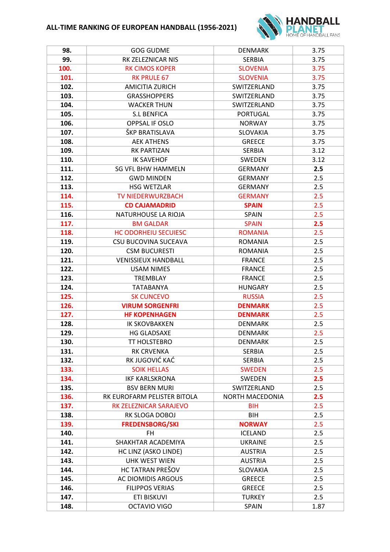## **ALL-TIME RANKING OF EUROPEAN HANDBALL (1956-2021)**



| 98.  | <b>GOG GUDME</b>            | <b>DENMARK</b>         | 3.75 |
|------|-----------------------------|------------------------|------|
| 99.  | RK ZELEZNICAR NIS           | <b>SERBIA</b>          | 3.75 |
| 100. | <b>RK CIMOS KOPER</b>       | <b>SLOVENIA</b>        | 3.75 |
| 101. | <b>RK PRULE 67</b>          | <b>SLOVENIA</b>        | 3.75 |
| 102. | AMICITIA ZURICH             | SWITZERLAND            | 3.75 |
| 103. | <b>GRASSHOPPERS</b>         | SWITZERLAND            | 3.75 |
| 104. | <b>WACKER THUN</b>          | SWITZERLAND            | 3.75 |
| 105. | <b>S.L BENFICA</b>          | PORTUGAL               | 3.75 |
| 106. | OPPSAL IF OSLO              | <b>NORWAY</b>          | 3.75 |
| 107. | ŠKP BRATISLAVA              | <b>SLOVAKIA</b>        | 3.75 |
| 108. | <b>AEK ATHENS</b>           | <b>GREECE</b>          | 3.75 |
| 109. | <b>RK PARTIZAN</b>          | <b>SERBIA</b>          | 3.12 |
| 110. | <b>IK SAVEHOF</b>           | SWEDEN                 | 3.12 |
| 111. | <b>SG VFL BHW HAMMELN</b>   | <b>GERMANY</b>         | 2.5  |
| 112. | <b>GWD MINDEN</b>           | <b>GERMANY</b>         | 2.5  |
| 113. | <b>HSG WETZLAR</b>          | <b>GERMANY</b>         | 2.5  |
| 114. | <b>TV NIEDERWURZBACH</b>    | <b>GERMANY</b>         | 2.5  |
| 115. | <b>CD CAJAMADRID</b>        | <b>SPAIN</b>           | 2.5  |
| 116. | NATURHOUSE LA RIOJA         | <b>SPAIN</b>           | 2.5  |
| 117. | <b>BM GALDAR</b>            | <b>SPAIN</b>           | 2.5  |
| 118. | <b>HC ODORHEIU SECUIESC</b> | <b>ROMANIA</b>         | 2.5  |
| 119. | CSU BUCOVINA SUCEAVA        | <b>ROMANIA</b>         | 2.5  |
| 120. | <b>CSM BUCURESTI</b>        | <b>ROMANIA</b>         | 2.5  |
| 121. | <b>VENISSIEUX HANDBALL</b>  | <b>FRANCE</b>          | 2.5  |
| 122. | <b>USAM NIMES</b>           | <b>FRANCE</b>          | 2.5  |
| 123. | TREMBLAY                    | <b>FRANCE</b>          | 2.5  |
| 124. | <b>TATABANYA</b>            | <b>HUNGARY</b>         | 2.5  |
| 125. | <b>SK CUNCEVO</b>           | <b>RUSSIA</b>          | 2.5  |
| 126. | <b>VIRUM SORGENFRI</b>      | <b>DENMARK</b>         | 2.5  |
| 127. | <b>HF KOPENHAGEN</b>        | <b>DENMARK</b>         | 2.5  |
| 128. | <b>IK SKOVBAKKEN</b>        | <b>DENMARK</b>         | 2.5  |
| 129. | <b>HG GLADSAXE</b>          | <b>DENMARK</b>         | 2.5  |
| 130. | TT HOLSTEBRO                | <b>DENMARK</b>         | 2.5  |
| 131. | <b>RK CRVENKA</b>           | <b>SERBIA</b>          | 2.5  |
| 132. | RK JUGOVIĆ KAĆ              | 2.5<br><b>SERBIA</b>   |      |
| 133. | <b>SOIK HELLAS</b>          | 2.5<br><b>SWEDEN</b>   |      |
| 134. | <b>IKF KARLSKRONA</b>       | 2.5<br>SWEDEN          |      |
| 135. | <b>BSV BERN MURI</b>        | SWITZERLAND            | 2.5  |
| 136. | RK EUROFARM PELISTER BITOLA | <b>NORTH MACEDONIA</b> | 2.5  |
| 137. | RK ZELEZNICAR SARAJEVO      | <b>BIH</b>             | 2.5  |
| 138. | RK SLOGA DOBOJ              | 2.5<br><b>BIH</b>      |      |
| 139. | <b>FREDENSBORG/SKI</b>      | <b>NORWAY</b>          | 2.5  |
| 140. | <b>FH</b>                   | <b>ICELAND</b>         | 2.5  |
| 141. | SHAKHTAR ACADEMIYA          | <b>UKRAINE</b>         | 2.5  |
| 142. | HC LINZ (ASKO LINDE)        | <b>AUSTRIA</b>         | 2.5  |
| 143. | <b>UHK WEST WIEN</b>        | <b>AUSTRIA</b>         | 2.5  |
| 144. | HC TATRAN PREŠOV            | SLOVAKIA               | 2.5  |
| 145. | AC DIOMIDIS ARGOUS          | <b>GREECE</b>          | 2.5  |
| 146. | <b>FILIPPOS VERIAS</b>      | 2.5<br><b>GREECE</b>   |      |
| 147. | <b>ETI BISKUVI</b>          | <b>TURKEY</b>          | 2.5  |
| 148. | OCTAVIO VIGO                | SPAIN                  | 1.87 |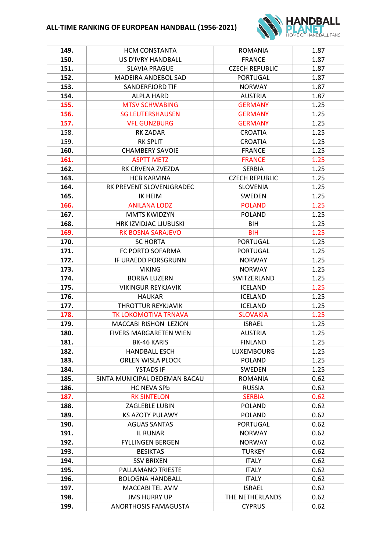

| 149. | <b>HCM CONSTANTA</b>          | <b>ROMANIA</b>        | 1.87 |
|------|-------------------------------|-----------------------|------|
| 150. | US D'IVRY HANDBALL            | <b>FRANCE</b>         | 1.87 |
| 151. | <b>SLAVIA PRAGUE</b>          | <b>CZECH REPUBLIC</b> | 1.87 |
| 152. | <b>MADEIRA ANDEBOL SAD</b>    | <b>PORTUGAL</b>       | 1.87 |
| 153. | SANDERFJORD TIF               | <b>NORWAY</b>         | 1.87 |
| 154. | <b>ALPLA HARD</b>             | <b>AUSTRIA</b>        | 1.87 |
| 155. | <b>MTSV SCHWABING</b>         | <b>GERMANY</b>        | 1.25 |
| 156. | <b>SG LEUTERSHAUSEN</b>       | <b>GERMANY</b>        | 1.25 |
| 157. | <b>VFL GUNZBURG</b>           | <b>GERMANY</b>        | 1.25 |
| 158. | <b>RK ZADAR</b>               | <b>CROATIA</b>        | 1.25 |
| 159. | <b>RK SPLIT</b>               | <b>CROATIA</b>        | 1.25 |
| 160. | <b>CHAMBERY SAVOIE</b>        | <b>FRANCE</b>         | 1.25 |
| 161. | <b>ASPTT METZ</b>             | <b>FRANCE</b>         | 1.25 |
| 162. | RK CRVENA ZVEZDA              | <b>SERBIA</b>         | 1.25 |
| 163. | <b>HCB KARVINA</b>            | <b>CZECH REPUBLIC</b> | 1.25 |
| 164. | RK PREVENT SLOVENJGRADEC      | <b>SLOVENIA</b>       | 1.25 |
| 165. | <b>IK HEIM</b>                | <b>SWEDEN</b>         | 1.25 |
| 166. | <b>ANILANA LODZ</b>           | <b>POLAND</b>         | 1.25 |
| 167. | <b>MMTS KWIDZYN</b>           | <b>POLAND</b>         | 1.25 |
| 168. | HRK IZVIDJAC LJUBUSKI         | BIH                   | 1.25 |
| 169. | <b>RK BOSNA SARAJEVO</b>      | <b>BIH</b>            | 1.25 |
| 170. | <b>SC HORTA</b>               | <b>PORTUGAL</b>       | 1.25 |
| 171. | FC PORTO SOFARMA              | <b>PORTUGAL</b>       | 1.25 |
| 172. | IF URAEDD PORSGRUNN           | <b>NORWAY</b>         | 1.25 |
| 173. | <b>VIKING</b>                 | <b>NORWAY</b>         | 1.25 |
| 174. | <b>BORBA LUZERN</b>           | SWITZERLAND           | 1.25 |
| 175. | <b>VIKINGUR REYKJAVIK</b>     | <b>ICELAND</b>        | 1.25 |
| 176. | <b>HAUKAR</b>                 | <b>ICELAND</b>        | 1.25 |
| 177. | THROTTUR REYKJAVIK            | <b>ICELAND</b>        | 1.25 |
| 178. | <b>TK LOKOMOTIVA TRNAVA</b>   | <b>SLOVAKIA</b>       | 1.25 |
| 179. | <b>MACCABI RISHON LEZION</b>  | <b>ISRAEL</b>         | 1.25 |
| 180. | <b>FIVERS MARGARETEN WIEN</b> | <b>AUSTRIA</b>        | 1.25 |
| 181. | <b>BK-46 KARIS</b>            | <b>FINLAND</b>        | 1.25 |
| 182. | <b>HANDBALL ESCH</b>          | <b>LUXEMBOURG</b>     | 1.25 |
| 183. | ORLEN WISLA PLOCK             | <b>POLAND</b>         | 1.25 |
| 184. | <b>YSTADS IF</b>              | <b>SWEDEN</b>         | 1.25 |
| 185. | SINTA MUNICIPAL DEDEMAN BACAU | <b>ROMANIA</b>        | 0.62 |
| 186. | <b>HC NEVA SPb</b>            | <b>RUSSIA</b>         | 0.62 |
| 187. | <b>RK SINTELON</b>            | <b>SERBIA</b>         | 0.62 |
| 188. | ZAGLEBLE LUBIN                | <b>POLAND</b>         | 0.62 |
| 189. | <b>KS AZOTY PULAWY</b>        | <b>POLAND</b>         | 0.62 |
| 190. | <b>AGUAS SANTAS</b>           | <b>PORTUGAL</b>       | 0.62 |
| 191. | <b>IL RUNAR</b>               | <b>NORWAY</b>         | 0.62 |
| 192. | <b>FYLLINGEN BERGEN</b>       | <b>NORWAY</b>         | 0.62 |
| 193. | <b>BESIKTAS</b>               | <b>TURKEY</b>         | 0.62 |
| 194. | <b>SSV BRIXEN</b>             | <b>ITALY</b>          | 0.62 |
| 195. | PALLAMANO TRIESTE             | <b>ITALY</b>          | 0.62 |
| 196. | <b>BOLOGNA HANDBALL</b>       | <b>ITALY</b>          | 0.62 |
| 197. | MACCABI TEL AVIV              | <b>ISRAEL</b>         | 0.62 |
| 198. | <b>JMS HURRY UP</b>           | THE NETHERLANDS       | 0.62 |
| 199. | ANORTHOSIS FAMAGUSTA          | <b>CYPRUS</b>         | 0.62 |